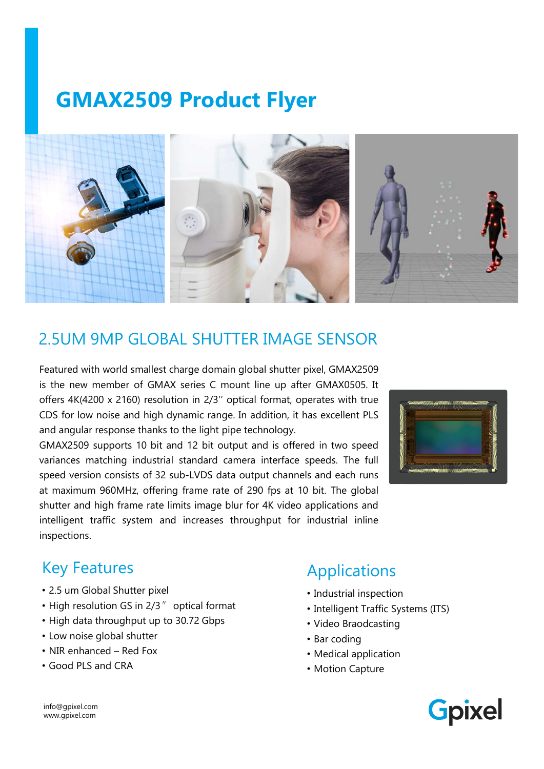# GMAX2509 Product Flyer



2.5UM 9MP GLOBAL SHUTTER IMAGE SENSOR<br>Featured with world smallest charge domain global shutter pixel, GMAX2509<br>is the new member of GMAX series C mount line up after GMAX0505. It<br>offers 4K(4200 x 2160) resolution in 2/3" Shutter and high frame rate limits image blur for 4K video applications and interest image applications and high dynamic range of mount line up after GMAX0505. It offers 4K(4200 x 2160) resolution in 2/3" optical format, o 2.5UM 9MP GLOBAL SHUTTER IMAGE SENSOR<br>
Featured with world smallest charge domain global shutter pixel, GMAX2509<br>
sis the new member of GMAX series C mount line up after GMAX0505. It<br>
coffs a 4(k4200 x 2160) resolution in inspections. CDS for low noise and high dynamic range. In addition, it has excellent PLS<br>
SIMAX2509 supports 10 bit and 12 bit output and is offered in two speed<br>
SIMAX2509 supports 10 bit and 12 bit output and is offered in two speed<br>



#### Key Features

- 2.5 um Global Shutter pixel
- High resolution GS in 2/3″ optical format
- High data throughput up to 30.72 Gbps
- Low noise global shutter
- 
- Good PLS and CRA

## Applications

- Industrial inspection
- Intelligent Traffic Systems (ITS)
- Video Braodcasting
- Bar coding
- Medical application
- Motion Capture

info@gpixel.com www.gpixel.com